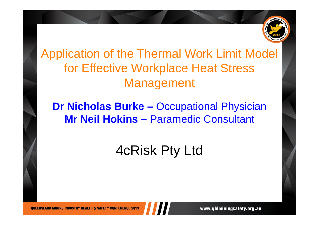

Application of the Thermal Work Limit Model for Effective Workplace Heat Stress Management

# **Dr Nicholas Burke –** Occupational Physician **Mr Neil Hokins –** Paramedic Consultant

# 4cRisk Pty Ltd

**OUEENSLAND MINING INDUSTRY HEALTH & SAFETY CONFERENCE 2013**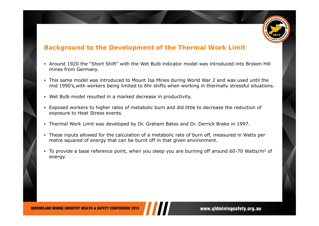

#### **Background to the Development of the Thermal Work Limit**

- Around 1920 the "Short Shift" with the Wet Bulb indicator model was introduced into Broken Hill mines from Germany.
- • This same model was introduced to Mount Isa Mines during World War 2 and was used until the mid 1990's,with workers being limited to 6hr shifts when working in thermally stressful situations.
- •Wet Bulb model resulted in a marked decrease in productivity.
- Exposed workers to higher rates of metabolic burn and did little to decrease the reduction of exposure to Heat Stress events.
- Thermal Work Limit was developed by Dr. Graham Bates and Dr. Derrick Brake in 1997.
- These inputs allowed for the calculation of a metabolic rate of burn off, measured in Watts per metre squared of energy that can be burnt off in that given environment.
- To provide a base reference point, when you sleep you are burning off around 60-70 Watts/m<sup>2</sup> of energy.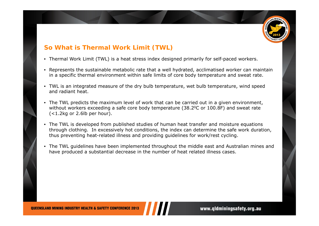

### **So What is Thermal Work Limit (TWL)**

- Thermal Work Limit (TWL) is a heat stress index designed primarily for self-paced workers.
- Represents the sustainable metabolic rate that a well hydrated, acclimatised worker can maintain in a specific thermal environment within safe limits of core body temperature and sweat rate.
- TWL is an integrated measure of the dry bulb temperature, wet bulb temperature, wind speed and radiant heat.
- The TWL predicts the maximum level of work that can be carried out in a given environment, without workers exceeding a safe core body temperature (38.2<sup>o</sup>C or 100.8F) and sweat rate (<1.2kg or 2.6lb per hour).
- The TWL is developed from published studies of human heat transfer and moisture equations through clothing. In excessively hot conditions, the index can determine the safe work duration, thus preventing heat-related illness and providing guidelines for work/rest cycling.
- The TWL guidelines have been implemented throughout the middle east and Australian mines and have produced a substantial decrease in the number of heat related illness cases.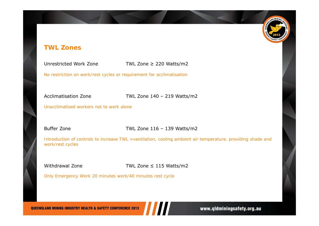#### **TWL Zones**

Unrestricted Work Zone

TWL Zone ≥ 220 Watts/m2

*No restriction on work/rest cycles or requirement for acclimatisation*

Acclimatisation Zone TWL Zone 140 – 219 Watts/m2

*Unacclimatised workers not to work alone*

Buffer Zone **TWL Zone 116 – 139 Watts/m2** 

*Introduction of controls to increase TWL >ventilation, cooling ambient air temperature, providing shade and work/rest cycles*

Withdrawal Zone

TWL Zone  $\leq$  115 Watts/m2

*Only Emergency Work 20 minutes work/40 minutes rest cycle*

**QUEENSLAND MINING INDUSTRY HEALTH & SAFETY CONFERENCE 2013**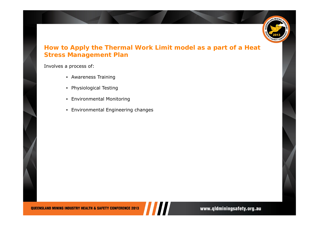

#### **How to Apply the Thermal Work Limit model as a part of a Heat Stress Management Plan**

Involves a process of:

- Awareness Training
- Physiological Testing
- Environmental Monitoring
- Environmental Engineering changes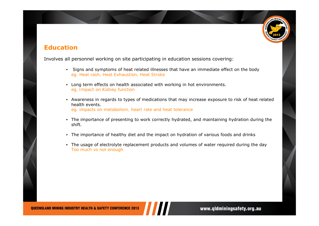

#### **Education**

Involves all personnel working on site participating in education sessions covering:

- • Signs and symptoms of heat related illnesses that have an immediate effect on the body *eg. Heat rash, Heat Exhaustion, Heat Stroke*
- Long term effects on health associated with working in hot environments. *eg. Impact on Kidney function*
- Awareness in regards to types of medications that may increase exposure to risk of heat related health events.*eg. impacts on metabolism, heart rate and heat tolerance*
- The importance of presenting to work correctly hydrated, and maintaining hydration during the shift.
- The importance of healthy diet and the impact on hydration of various foods and drinks
- The usage of electrolyte replacement products and volumes of water required during the day *Too much vs not enough*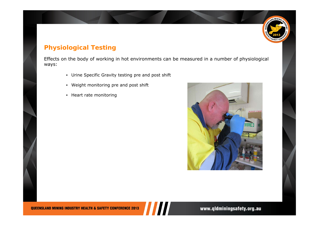

### **Physiological Testing**

Effects on the body of working in hot environments can be measured in a number of physiological ways:

- Urine Specific Gravity testing pre and post shift
- Weight monitoring pre and post shift
- Heart rate monitoring

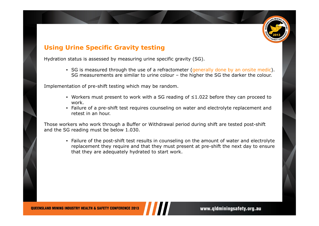

#### **Using Urine Specific Gravity testing**

Hydration status is assessed by measuring urine specific gravity (SG).

• SG is measured through the use of a refractometer (*generally done by an onsite medic*). SG measurements are similar to urine colour – the higher the SG the darker the colour.

Implementation of pre-shift testing which may be random.

- Workers must present to work with a SG reading of ≤1.022 before they can proceed to work.
- Failure of a pre-shift test requires counseling on water and electrolyte replacement and retest in an hour.

Those workers who work through a Buffer or Withdrawal period during shift are tested post-shift and the SG reading must be below 1.030.

• Failure of the post-shift test results in counseling on the amount of water and electrolyte replacement they require and that they must present at pre-shift the next day to ensure that they are adequately hydrated to start work.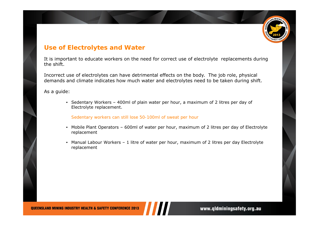

#### **Use of Electrolytes and Water**

It is important to educate workers on the need for correct use of electrolyte replacements during the shift.

Incorrect use of electrolytes can have detrimental effects on the body. The job role, physical demands and climate indicates how much water and electrolytes need to be taken during shift.

As a guide:

• Sedentary Workers – 400ml of plain water per hour, a maximum of 2 litres per day of Electrolyte replacement.

*Sedentary workers can still lose 50-100ml of sweat per hour*

- Mobile Plant Operators 600ml of water per hour, maximum of 2 litres per day of Electrolyte replacement
- Manual Labour Workers 1 litre of water per hour, maximum of 2 litres per day Electrolyte replacement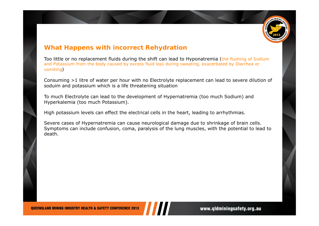

#### **What Happens with incorrect Rehydration**

Too little or no replacement fluids during the shift can lead to Hyponatremia *(the flushing of Sodium and Potassium from the body caused by excess fluid loss during sweating, exacerbated by Diarrhea or vomiting)*

Consuming >1 litre of water per hour with no Electrolyte replacement can lead to severe dilution of soduim and potassium which is a life threatening situation

To much Electrolyte can lead to the development of Hypernatremia (too much Sodium) and Hyperkalemia (too much Potassium).

High potassium levels can effect the electrical cells in the heart, leading to arrhythmias.

Severe cases of Hypernatremia can cause neurological damage due to shrinkage of brain cells. Symptoms can include confusion, coma, paralysis of the lung muscles, with the potential to lead to death.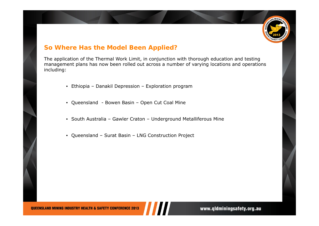

#### **So Where Has the Model Been Applied?**

The application of the Thermal Work Limit, in conjunction with thorough education and testing management plans has now been rolled out across a number of varying locations and operations including:

- Ethiopia Danakil Depression Exploration program
- Queensland Bowen Basin Open Cut Coal Mine
- South Australia Gawler Craton Underground Metalliferous Mine
- Queensland Surat Basin LNG Construction Project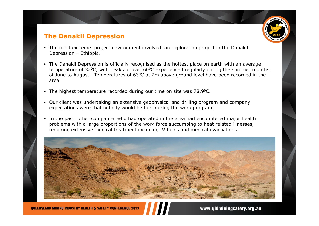#### **The Danakil Depression**

- The most extreme project environment involved an exploration project in the Danakil Depression – Ethiopia.
- • The Danakil Depression is officially recognised as the hottest place on earth with an average temperature of 32<sup>o</sup>C, with peaks of over 60<sup>o</sup>C experienced regularly during the summer months of June to August. Temperatures of 630C at 2m above ground level have been recorded in the area.
- •The highest temperature recorded during our time on site was 78.9<sup>o</sup>C.
- • Our client was undertaking an extensive geophysical and drilling program and company expectations were that nobody would be hurt during the work program.
- • In the past, other companies who had operated in the area had encountered major health problems with a large proportions of the work force succumbing to heat related illnesses, requiring extensive medical treatment including IV fluids and medical evacuations.

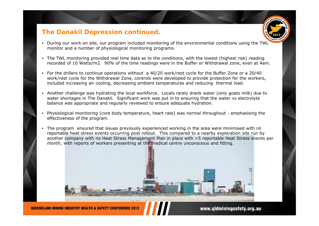#### **The Danakil Depression continued.**

- During our work on site, our program included monitoring of the environmental conditions using the TWL monitor and a number of physiological monitoring programs.
- The TWL monitoring provided real time data as to the conditions, with the lowest (highest risk) reading recorded of 10 Watts/m2. 90% of the time readings were in the Buffer or Withdrawal zone, even at 4am.
- For the drillers to continue operations without a 40/20 work/rest cycle for the Buffer Zone or a 20/40 work/rest cycle for the Withdrawal Zone, controls were developed to provide protection for the workers, included increasing air cooling, decreasing ambient temperatures and reducing thermal load.
- Another challenge was hydrating the local workforce. Locals rarely drank water (only goats milk) due to water shortages in The Danakil. Significant work was put in to ensuring that the water vs electrolyte balance was appropriate and regularly reviewed to ensure adequate hydration.
- Physiological monitoring (core body temperature, heart rate) was normal throughout emphasising the effectiveness of the program.
- The program ensured that issues previously experienced working in the area were minimised with nil reportable heat stress events occurring post rollout. This compared to a nearby exploration site run by another company with no Heat Stress Management Plan in place with >5 reportable Heat Stress events per month, with reports of workers presenting at the medical centre unconscious and fitting.

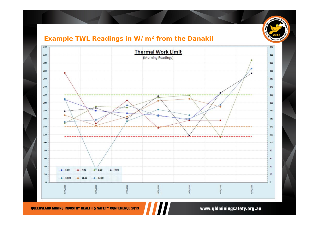

#### **Example TWL Readings in W/m2 from the Danakil**



**QUEENSLAND MINING INDUSTRY HEALTH & SAFETY CONFERENCE 2013**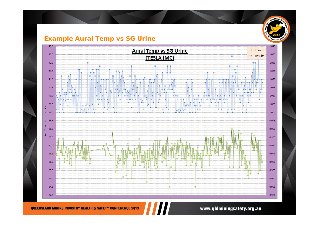#### **Example Aural Temp vs SG Urine**



www.qldminingsafety.org.au

SLAND MINING

AFETY CO

å

**QUEENSLAND MINING INDUSTRY HEALTH & SAFETY CONFERENCE 2013**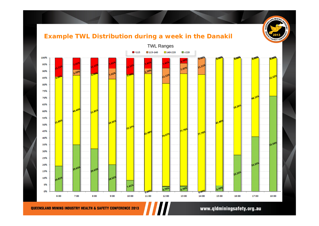## **Example TWL Distribution during a week in the Danakil**



**QUEENSLAND MINING INDUSTRY HEALTH & SAFETY CONFERENCE 2013** 

#### www.qldminingsafety.org.au

SUND MINING IN

**Calle**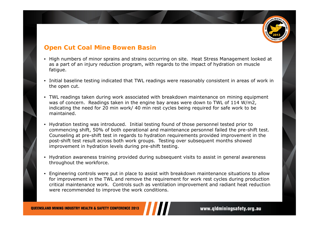

#### **Open Cut Coal Mine Bowen Basin**

- High numbers of minor sprains and strains occurring on site. Heat Stress Management looked at as a part of an injury reduction program, with regards to the impact of hydration on muscle fatigue.
- Initial baseline testing indicated that TWL readings were reasonably consistent in areas of work in the open cut.
- TWL readings taken during work associated with breakdown maintenance on mining equipment was of concern. Readings taken in the engine bay areas were down to TWL of 114 W/m2, indicating the need for 20 min work/ 40 min rest cycles being required for safe work to be maintained.
- Hydration testing was introduced. Initial testing found of those personnel tested prior to commencing shift, 50% of both operational and maintenance personnel failed the pre-shift test. Counseling at pre-shift test in regards to hydration requirements provided improvement in the post-shift test result across both work groups. Testing over subsequent months showed improvement in hydration levels during pre-shift testing.
- Hydration awareness training provided during subsequent visits to assist in general awareness throughout the workforce.
- Engineering controls were put in place to assist with breakdown maintenance situations to allow for improvement in the TWL and remove the requirement for work rest cycles during production critical maintenance work. Controls such as ventilation improvement and radiant heat reduction were recommended to improve the work conditions.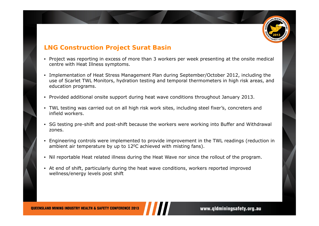

#### **LNG Construction Project Surat Basin**

- Project was reporting in excess of more than 3 workers per week presenting at the onsite medical centre with Heat Illness symptoms.
- Implementation of Heat Stress Management Plan during September/October 2012, including the use of Scarlet TWL Monitors, hydration testing and temporal thermometers in high risk areas, and education programs.
- •Provided additional onsite support during heat wave conditions throughout January 2013.
- TWL testing was carried out on all high risk work sites, including steel fixer's, concreters and infield workers.
- SG testing pre-shift and post-shift because the workers were working into Buffer and Withdrawal zones.
- Engineering controls were implemented to provide improvement in the TWL readings (reduction in ambient air temperature by up to  $12^{\circ}$ C achieved with misting fans).
- Nil reportable Heat related illness during the Heat Wave nor since the rollout of the program.
- At end of shift, particularly during the heat wave conditions, workers reported improved wellness/energy levels post shift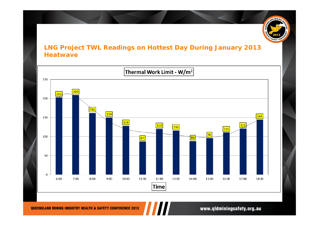

#### **LNG Project TWL Readings on Hottest Day During January 2013 Heatwave**

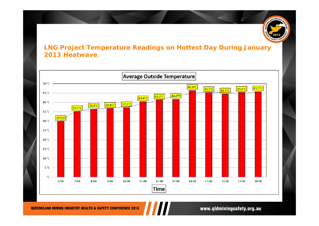

#### **LNG Project Temperature Readings on Hottest Day During January 2013 Heatwave**

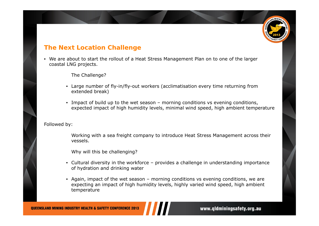#### **The Next Location Challenge**

• We are about to start the rollout of a Heat Stress Management Plan on to one of the larger coastal LNG projects.

The Challenge?

- Large number of fly-in/fly-out workers (acclimatisation every time returning from extended break)
- Impact of build up to the wet season morning conditions vs evening conditions, expected impact of high humidity levels, minimal wind speed, high ambient temperature

Followed by:

Working with a sea freight company to introduce Heat Stress Management across their vessels.

Why will this be challenging?

- Cultural diversity in the workforce provides a challenge in understanding importance of hydration and drinking water
- Again, impact of the wet season morning conditions vs evening conditions, we are expecting an impact of high humidity levels, highly varied wind speed, high ambient temperature